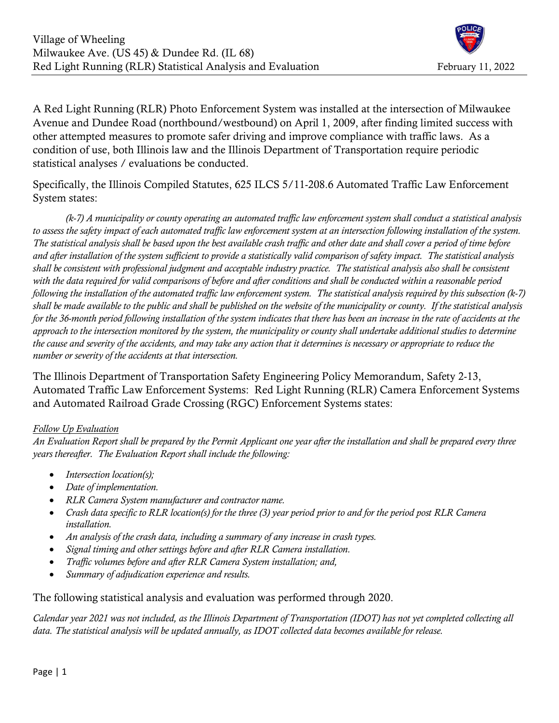

A Red Light Running (RLR) Photo Enforcement System was installed at the intersection of Milwaukee Avenue and Dundee Road (northbound/westbound) on April 1, 2009, after finding limited success with other attempted measures to promote safer driving and improve compliance with traffic laws. As a condition of use, both Illinois law and the Illinois Department of Transportation require periodic statistical analyses / evaluations be conducted.

Specifically, the Illinois Compiled Statutes, 625 ILCS 5/11-208.6 Automated Traffic Law Enforcement System states:

 (k-7) A municipality or county operating an automated traffic law enforcement system shall conduct a statistical analysis to assess the safety impact of each automated traffic law enforcement system at an intersection following installation of the system. The statistical analysis shall be based upon the best available crash traffic and other date and shall cover a period of time before and after installation of the system sufficient to provide a statistically valid comparison of safety impact. The statistical analysis shall be consistent with professional judgment and acceptable industry practice. The statistical analysis also shall be consistent with the data required for valid comparisons of before and after conditions and shall be conducted within a reasonable period following the installation of the automated traffic law enforcement system. The statistical analysis required by this subsection (k-7) shall be made available to the public and shall be published on the website of the municipality or county. If the statistical analysis for the 36-month period following installation of the system indicates that there has been an increase in the rate of accidents at the approach to the intersection monitored by the system, the municipality or county shall undertake additional studies to determine the cause and severity of the accidents, and may take any action that it determines is necessary or appropriate to reduce the number or severity of the accidents at that intersection.

The Illinois Department of Transportation Safety Engineering Policy Memorandum, Safety 2-13, Automated Traffic Law Enforcement Systems: Red Light Running (RLR) Camera Enforcement Systems and Automated Railroad Grade Crossing (RGC) Enforcement Systems states:

### Follow Up Evaluation

An Evaluation Report shall be prepared by the Permit Applicant one year after the installation and shall be prepared every three years thereafter. The Evaluation Report shall include the following:

- $\bullet$  Intersection location(s);
- Date of implementation.
- RLR Camera System manufacturer and contractor name.
- Crash data specific to RLR location(s) for the three (3) year period prior to and for the period post RLR Camera installation.
- An analysis of the crash data, including a summary of any increase in crash types.
- Signal timing and other settings before and after RLR Camera installation.
- Traffic volumes before and after RLR Camera System installation; and,
- Summary of adjudication experience and results.

The following statistical analysis and evaluation was performed through 2020.

Calendar year 2021 was not included, as the Illinois Department of Transportation (IDOT) has not yet completed collecting all data. The statistical analysis will be updated annually, as IDOT collected data becomes available for release.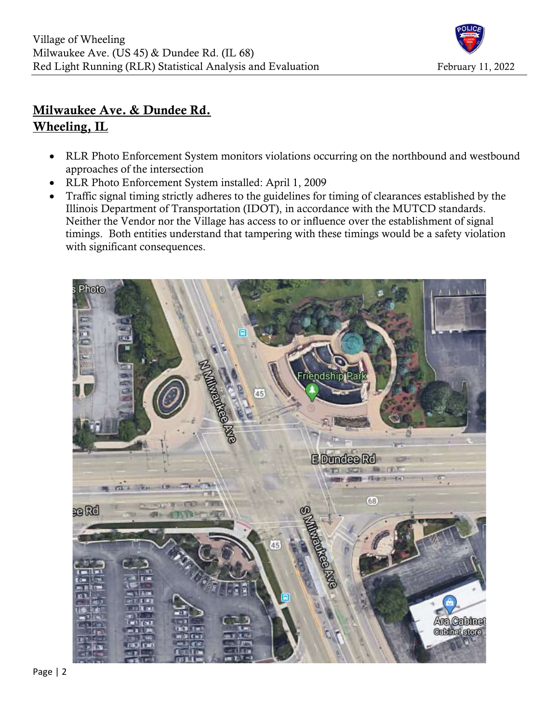

# Milwaukee Ave. & Dundee Rd. Wheeling, IL

- RLR Photo Enforcement System monitors violations occurring on the northbound and westbound approaches of the intersection
- RLR Photo Enforcement System installed: April 1, 2009
- Traffic signal timing strictly adheres to the guidelines for timing of clearances established by the Illinois Department of Transportation (IDOT), in accordance with the MUTCD standards. Neither the Vendor nor the Village has access to or influence over the establishment of signal timings. Both entities understand that tampering with these timings would be a safety violation with significant consequences.

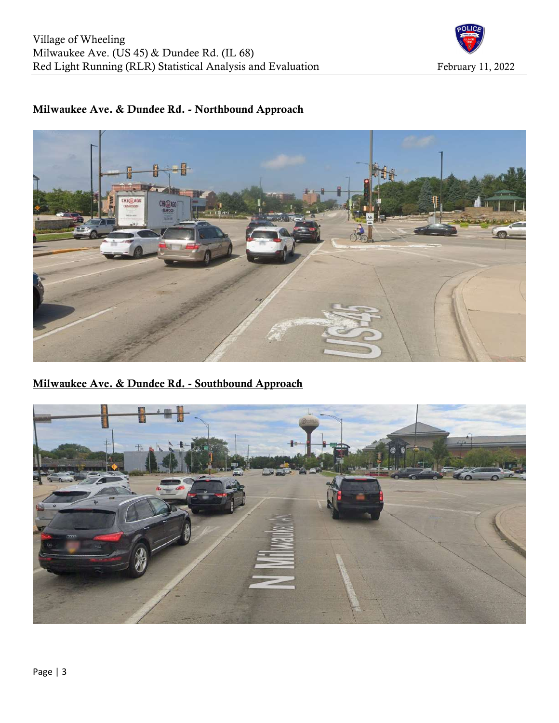

## Milwaukee Ave. & Dundee Rd. - Northbound Approach



Milwaukee Ave. & Dundee Rd. - Southbound Approach

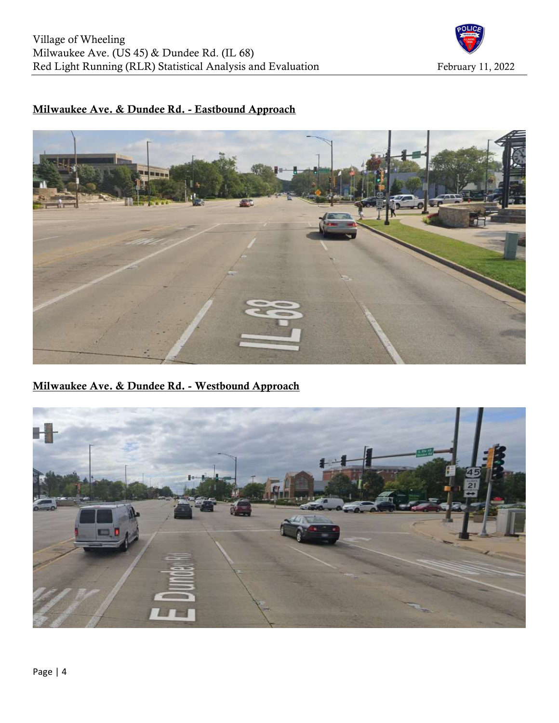

## Milwaukee Ave. & Dundee Rd. - Eastbound Approach



Milwaukee Ave. & Dundee Rd. - Westbound Approach

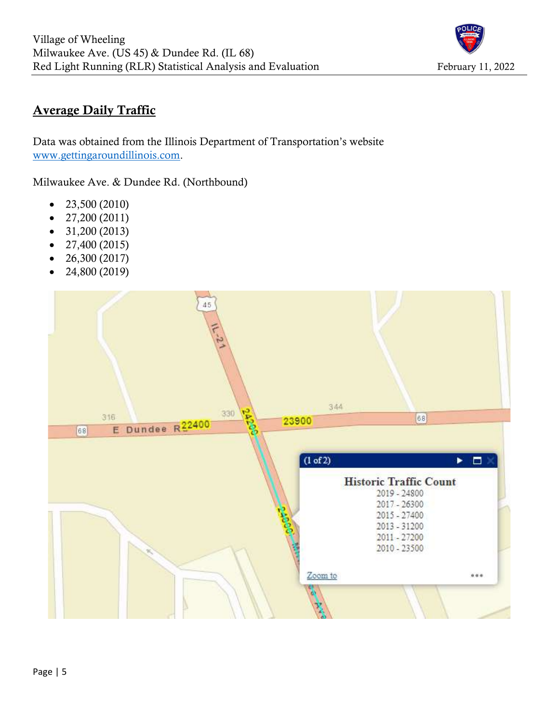

# Average Daily Traffic

Data was obtained from the Illinois Department of Transportation's website www.gettingaroundillinois.com.

Milwaukee Ave. & Dundee Rd. (Northbound)

- $\bullet$  23,500 (2010)
- $\bullet$  27,200 (2011)
- $\bullet$  31,200 (2013)
- $\bullet$  27,400 (2015)
- $\bullet$  26,300 (2017)
- $\bullet$  24,800 (2019)

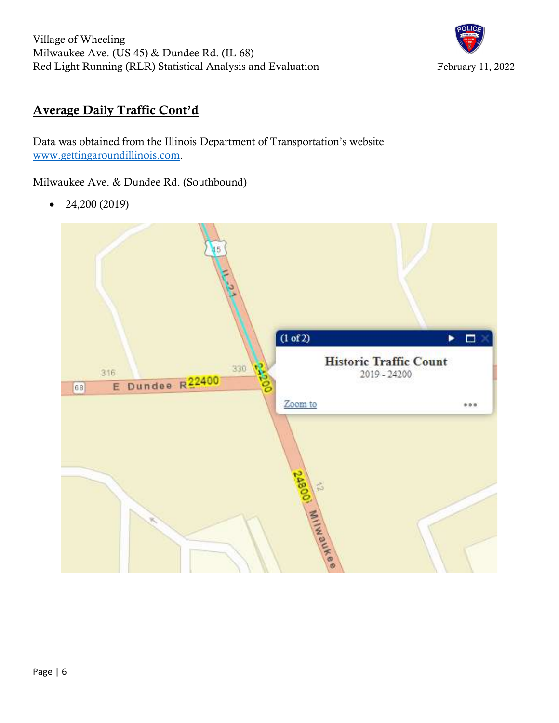

# Average Daily Traffic Cont'd

Data was obtained from the Illinois Department of Transportation's website www.gettingaroundillinois.com.

Milwaukee Ave. & Dundee Rd. (Southbound)

 $\bullet$  24,200 (2019)

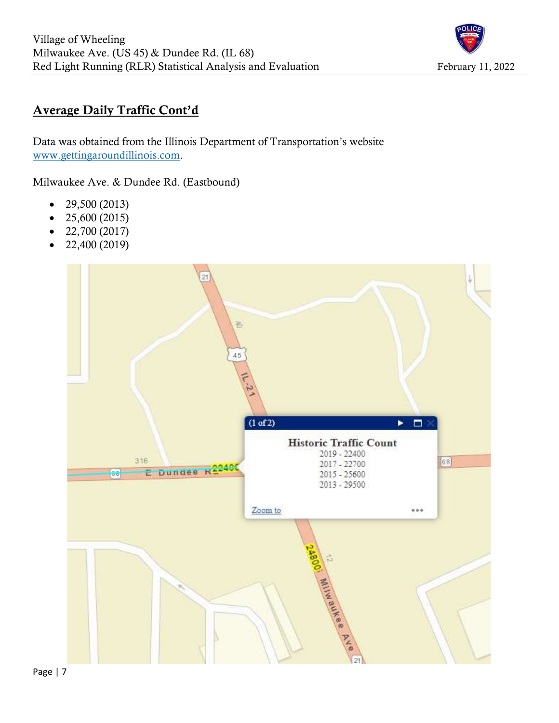

# Average Daily Traffic Cont'd

Data was obtained from the Illinois Department of Transportation's website www.gettingaroundillinois.com.

Milwaukee Ave. & Dundee Rd. (Eastbound)

- $\bullet$  29,500 (2013)
- $\bullet$  25,600 (2015)
- $\bullet$  22,700 (2017)
- $\bullet$  22,400 (2019)

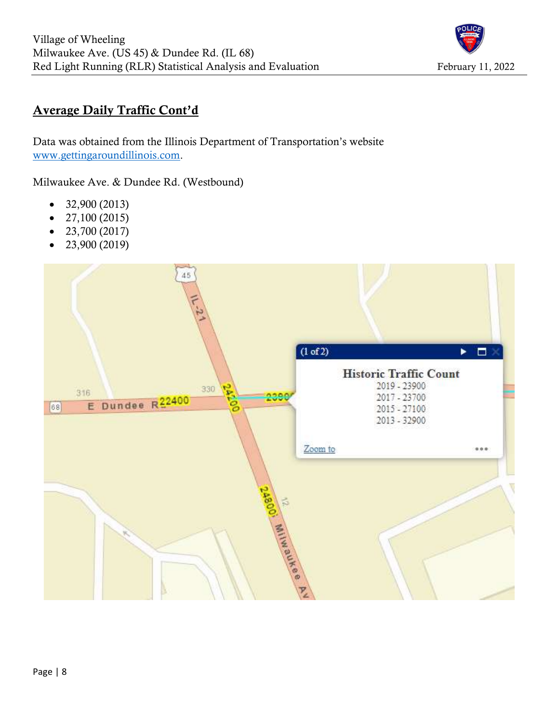

# Average Daily Traffic Cont'd

Data was obtained from the Illinois Department of Transportation's website www.gettingaroundillinois.com.

Milwaukee Ave. & Dundee Rd. (Westbound)

- $\bullet$  32,900 (2013)
- $\bullet$  27,100 (2015)
- $-23,700 (2017)$
- $\bullet$  23,900 (2019)

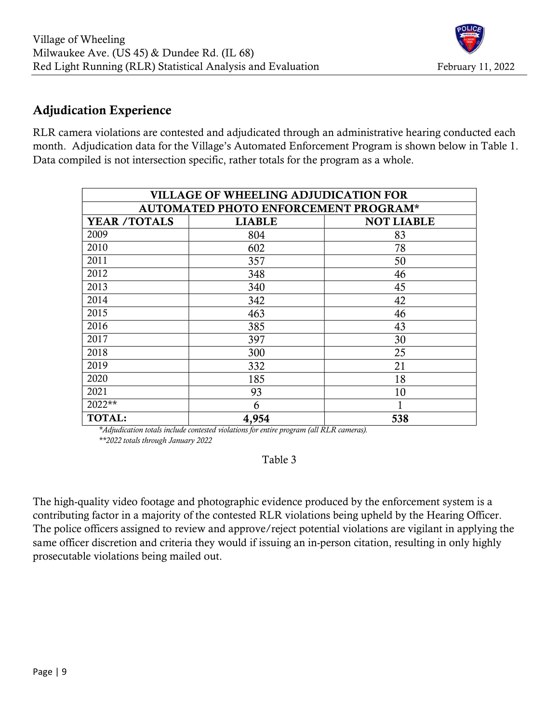# Adjudication Experience

RLR camera violations are contested and adjudicated through an administrative hearing conducted each month. Adjudication data for the Village's Automated Enforcement Program is shown below in Table 1. Data compiled is not intersection specific, rather totals for the program as a whole.

| <b>VILLAGE OF WHEELING ADJUDICATION FOR</b> |               |                   |  |  |  |  |  |  |  |
|---------------------------------------------|---------------|-------------------|--|--|--|--|--|--|--|
| AUTOMATED PHOTO ENFORCEMENT PROGRAM*        |               |                   |  |  |  |  |  |  |  |
| <b>YEAR /TOTALS</b>                         | <b>LIABLE</b> | <b>NOT LIABLE</b> |  |  |  |  |  |  |  |
| 2009                                        | 804           | 83                |  |  |  |  |  |  |  |
| 2010                                        | 602           | 78                |  |  |  |  |  |  |  |
| 2011                                        | 357           | 50                |  |  |  |  |  |  |  |
| 2012                                        | 348           | 46                |  |  |  |  |  |  |  |
| 2013                                        | 340           | 45                |  |  |  |  |  |  |  |
| 2014                                        | 342           | 42                |  |  |  |  |  |  |  |
| 2015                                        | 463           | 46                |  |  |  |  |  |  |  |
| 2016                                        | 385           | 43                |  |  |  |  |  |  |  |
| 2017                                        | 397           | 30                |  |  |  |  |  |  |  |
| 2018                                        | 300           | 25                |  |  |  |  |  |  |  |
| 2019                                        | 332           | 21                |  |  |  |  |  |  |  |
| 2020                                        | 185           | 18                |  |  |  |  |  |  |  |
| 2021                                        | 93            | 10                |  |  |  |  |  |  |  |
| 2022**                                      | 6             | 1                 |  |  |  |  |  |  |  |
| <b>TOTAL:</b>                               | 4,954         | 538               |  |  |  |  |  |  |  |

 \*Adjudication totals include contested violations for entire program (all RLR cameras). \*\*2022 totals through January 2022

## Table 3

The high-quality video footage and photographic evidence produced by the enforcement system is a contributing factor in a majority of the contested RLR violations being upheld by the Hearing Officer. The police officers assigned to review and approve/reject potential violations are vigilant in applying the same officer discretion and criteria they would if issuing an in-person citation, resulting in only highly prosecutable violations being mailed out.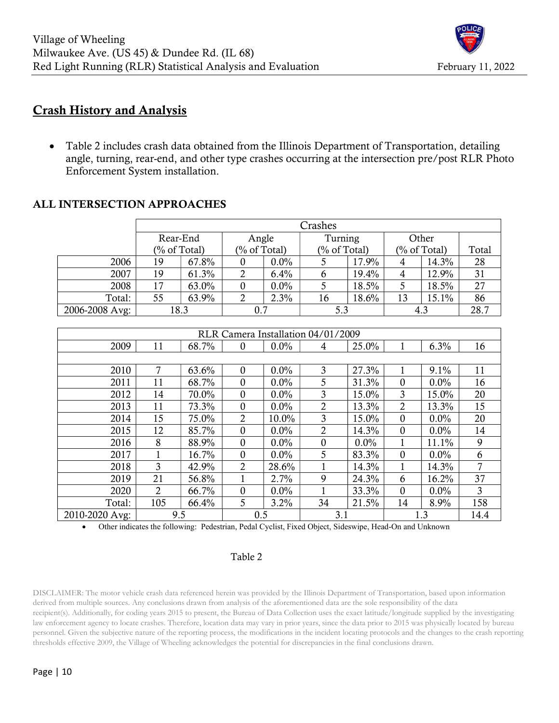

## Crash History and Analysis

• Table 2 includes crash data obtained from the Illinois Department of Transportation, detailing angle, turning, rear-end, and other type crashes occurring at the intersection pre/post RLR Photo Enforcement System installation.

## ALL INTERSECTION APPROACHES

|                | Crashes |                 |                 |         |                 |          |              |       |       |
|----------------|---------|-----------------|-----------------|---------|-----------------|----------|--------------|-------|-------|
|                |         | Rear-End        |                 | Angle   |                 | Turning  |              | Other |       |
|                |         | $(\%$ of Total) | $(\%$ of Total) |         | $(\%$ of Total) |          | (% of Total) |       | Total |
| 2006           | 19      | 67.8%           |                 | $0.0\%$ |                 | 17.9%    | 4            | 14.3% | 28    |
| 2007           | 19      | 61.3%           |                 | 6.4%    | $\sigma$        | 19.4%    | 4            | 12.9% | 31    |
| 2008           | 17      | 63.0%           |                 | $0.0\%$ |                 | 18.5%    |              | 18.5% | 27    |
| Total:         | 55      | 63.9%           |                 | 2.3%    | 16              | $18.6\%$ | 13           | 15.1% | 86    |
| 2006-2008 Avg: |         | 18.3            | 0.7             |         | 5.3             |          | 4.5          |       | 28.7  |

| RLR Camera Installation 04/01/2009 |                |       |                  |         |                 |       |                  |         |      |
|------------------------------------|----------------|-------|------------------|---------|-----------------|-------|------------------|---------|------|
| 2009                               | 11             | 68.7% | $\Omega$         | $0.0\%$ | 4               | 25.0% |                  | 6.3%    | 16   |
|                                    |                |       |                  |         |                 |       |                  |         |      |
| 2010                               | 7              | 63.6% | $\mathbf{0}$     | $0.0\%$ | 3               | 27.3% |                  | 9.1%    | 11   |
| 2011                               | 11             | 68.7% | $\boldsymbol{0}$ | $0.0\%$ | 5               | 31.3% | $\theta$         | $0.0\%$ | 16   |
| 2012                               | 14             | 70.0% | $\boldsymbol{0}$ | $0.0\%$ | 3               | 15.0% | 3                | 15.0%   | 20   |
| 2013                               | 11             | 73.3% | $\boldsymbol{0}$ | $0.0\%$ | 2               | 13.3% | 2                | 13.3%   | 15   |
| 2014                               | 15             | 75.0% | 2                | 10.0%   | 3               | 15.0% | $\mathbf{0}$     | 0.0%    | 20   |
| 2015                               | 12             | 85.7% | $\boldsymbol{0}$ | $0.0\%$ | $\overline{2}$  | 14.3% | $\boldsymbol{0}$ | $0.0\%$ | 14   |
| 2016                               | 8              | 88.9% | $\boldsymbol{0}$ | $0.0\%$ | $\mathbf{0}$    | 0.0%  |                  | 11.1%   | 9    |
| 2017                               |                | 16.7% | $\boldsymbol{0}$ | $0.0\%$ | $5\overline{)}$ | 83.3% | $\mathbf{0}$     | 0.0%    | 6    |
| 2018                               | 3              | 42.9% | $\overline{2}$   | 28.6%   |                 | 14.3% |                  | 14.3%   | 7    |
| 2019                               | 21             | 56.8% |                  | 2.7%    | 9               | 24.3% | 6                | 16.2%   | 37   |
| 2020                               | $\overline{2}$ | 66.7% | $\Omega$         | $0.0\%$ |                 | 33.3% | $\mathbf{0}$     | 0.0%    | 3    |
| Total:                             | 105            | 66.4% | 5                | $3.2\%$ | 34              | 21.5% | 14               | 8.9%    | 158  |
| 2010-2020 Avg:                     | 9.5            |       | 0.5              |         | 3.1             |       | 1.3              |         | 14.4 |

Other indicates the following: Pedestrian, Pedal Cyclist, Fixed Object, Sideswipe, Head-On and Unknown

### Table 2

DISCLAIMER: The motor vehicle crash data referenced herein was provided by the Illinois Department of Transportation, based upon information derived from multiple sources. Any conclusions drawn from analysis of the aforementioned data are the sole responsibility of the data recipient(s). Additionally, for coding years 2015 to present, the Bureau of Data Collection uses the exact latitude/longitude supplied by the investigating law enforcement agency to locate crashes. Therefore, location data may vary in prior years, since the data prior to 2015 was physically located by bureau personnel. Given the subjective nature of the reporting process, the modifications in the incident locating protocols and the changes to the crash reporting thresholds effective 2009, the Village of Wheeling acknowledges the potential for discrepancies in the final conclusions drawn.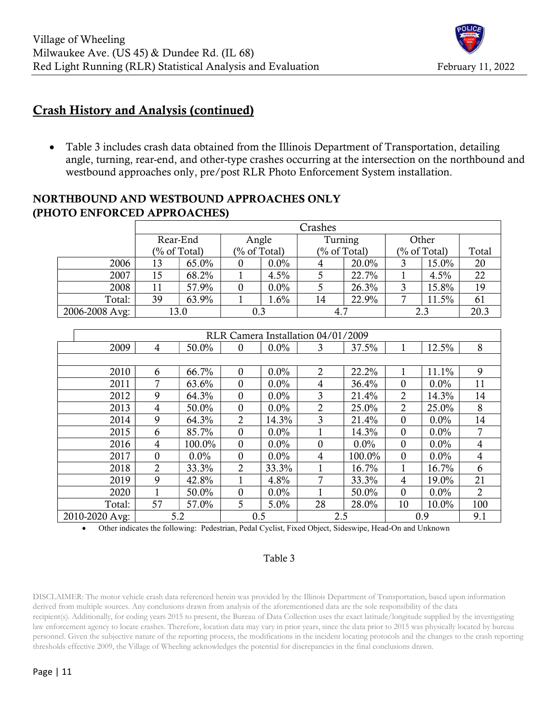## Crash History and Analysis (continued)

• Table 3 includes crash data obtained from the Illinois Department of Transportation, detailing angle, turning, rear-end, and other-type crashes occurring at the intersection on the northbound and westbound approaches only, pre/post RLR Photo Enforcement System installation.

## NORTHBOUND AND WESTBOUND APPROACHES ONLY (PHOTO ENFORCED APPROACHES)

|                | Crashes |                   |            |         |                 |       |              |       |       |
|----------------|---------|-------------------|------------|---------|-----------------|-------|--------------|-------|-------|
|                |         | Rear-End<br>Angle |            | Turning |                 | Other |              |       |       |
|                |         | $(\%$ of Total)   | % of Total |         | $(\%$ of Total) |       | (% of Total) |       | Total |
| 2006           | 13      | 65.0%             |            | $0.0\%$ | 4               | 20.0% |              | 15.0% | 20    |
| 2007           | 15      | 68.2%             |            | 4.5%    |                 | 22.7% |              | 4.5%  | 22    |
| 2008           | 11      | 57.9%             |            | $0.0\%$ |                 | 26.3% |              | 15.8% | 19    |
| Total:         | 39      | 63.9%             |            | $1.6\%$ | 14              | 22.9% |              | 11.5% | 61    |
| 2006-2008 Avg: |         | 13.0              | 0.3        |         | 4.7             |       | 2.3          |       | 20.3  |

| RLR Camera Installation 04/01/2009 |                |         |                  |         |                |         |                  |         |                |
|------------------------------------|----------------|---------|------------------|---------|----------------|---------|------------------|---------|----------------|
| 2009                               | 4              | 50.0%   | $\boldsymbol{0}$ | 0.0%    | 3              | 37.5%   |                  | 12.5%   | 8              |
|                                    |                |         |                  |         |                |         |                  |         |                |
| 2010                               | 6              | 66.7%   | $\theta$         | $0.0\%$ | $\overline{2}$ | 22.2%   |                  | 11.1%   | 9              |
| 2011                               | 7              | 63.6%   | $\theta$         | 0.0%    | 4              | 36.4%   | 0                | 0.0%    | 11             |
| 2012                               | 9              | 64.3%   | $\theta$         | $0.0\%$ | 3              | 21.4%   | 2                | 14.3%   | 14             |
| 2013                               | 4              | 50.0%   | $\theta$         | $0.0\%$ | 2              | 25.0%   | $\overline{2}$   | 25.0%   | 8              |
| 2014                               | 9              | 64.3%   | $\overline{2}$   | 14.3%   | 3              | 21.4%   | $\mathbf{0}$     | $0.0\%$ | 14             |
| 2015                               | 6              | 85.7%   | $\mathbf{0}$     | $0.0\%$ |                | 14.3%   | $\boldsymbol{0}$ | $0.0\%$ |                |
| 2016                               | $\overline{4}$ | 100.0%  | $\mathbf{0}$     | $0.0\%$ | $\mathbf{0}$   | $0.0\%$ | $\mathbf{0}$     | $0.0\%$ | 4              |
| 2017                               | $\mathbf{0}$   | $0.0\%$ | $\theta$         | $0.0\%$ | 4              | 100.0%  | $\mathbf{0}$     | $0.0\%$ | 4              |
| 2018                               | 2              | 33.3%   | $\overline{2}$   | 33.3%   |                | 16.7%   |                  | 16.7%   | 6              |
| 2019                               | 9              | 42.8%   |                  | 4.8%    | 7              | 33.3%   | 4                | 19.0%   | 21             |
| 2020                               |                | 50.0%   | $\theta$         | $0.0\%$ |                | 50.0%   | $\theta$         | $0.0\%$ | $\overline{2}$ |
| Total:                             | 57             | 57.0%   | $5\overline{)}$  | 5.0%    | 28             | 28.0%   | 10               | 10.0%   | 100            |
| 2010-2020 Avg:                     |                | 5.2     | 0.5              |         | 2.5            |         | 0.9              |         | 9.1            |

Other indicates the following: Pedestrian, Pedal Cyclist, Fixed Object, Sideswipe, Head-On and Unknown

### Table 3

DISCLAIMER: The motor vehicle crash data referenced herein was provided by the Illinois Department of Transportation, based upon information derived from multiple sources. Any conclusions drawn from analysis of the aforementioned data are the sole responsibility of the data recipient(s). Additionally, for coding years 2015 to present, the Bureau of Data Collection uses the exact latitude/longitude supplied by the investigating law enforcement agency to locate crashes. Therefore, location data may vary in prior years, since the data prior to 2015 was physically located by bureau personnel. Given the subjective nature of the reporting process, the modifications in the incident locating protocols and the changes to the crash reporting thresholds effective 2009, the Village of Wheeling acknowledges the potential for discrepancies in the final conclusions drawn.